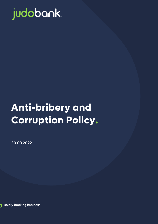

# **Anti-bribery and Corruption Policy.**

30.03.2022



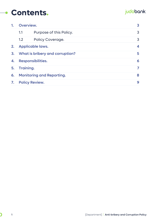### **Contents.**

#### judobank.

|    | Overview.                        |                         |   |
|----|----------------------------------|-------------------------|---|
|    | 1.1                              | Purpose of this Policy. | 3 |
|    | 1.2                              | Policy Coverage.        | 3 |
| 2. | <b>Applicable laws.</b>          |                         | 4 |
| 3. | What is bribery and corruption?  |                         | 5 |
| 4. | Responsibilities.                |                         | 6 |
| 5. | Training.                        |                         |   |
| 6. | <b>Monitoring and Reporting.</b> |                         | 8 |
| 7. | <b>Policy Review.</b>            |                         | 9 |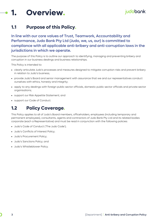### <span id="page-2-0"></span>**1. Overview.**

#### <span id="page-2-1"></span>**1.1 Purpose of this Policy.**

In line with our core values of Trust, Teamwork, Accountability and Performance, Judo Bank Pty Ltd (Judo, we, us, our) is committed to compliance with all applicable anti-bribery and anti-corruption laws in the jurisdictions in which we operate.

The purpose of this Policy is to outline our approach to identifying, managing and preventing bribery and corruption in our business dealings and business relationships.

This Policy is intended to:

- clearly articulate Judo's processes and measures designed to mitigate corruption risks and prevent bribery in relation to Judo's business;
- provide Judo's Board and senior management with assurance that we and our representatives conduct ourselves with ethics, honesty and integrity;
- apply to any dealings with foreign public sector officials, domestic public sector officials and private sector organisations;
- support our Risk Appetite Statement; and
- support our Code of Conduct.

#### <span id="page-2-2"></span>**1.2 Policy Coverage.**

This Policy applies to all of Judo's Board members, officeholders, employees (including temporary and permanent employees), consultants, agents and contractors of Judo Bank Pty Ltd and its related bodies corporate (each a Representative) and must be read in conjunction with the following policies:

- Judo's Code of Conduct ('The Judo Code');
- Judo's Conflicts of Interest Policy;
- Judo's Procurement Policy;
- Judo's Sanctions Policy; and
- Judo's Whistleblower Policy.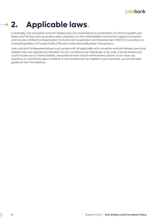#### <span id="page-3-0"></span>**2. Applicable laws.**  $\bullet$

In Australia, anti-corruption and anti-bribery laws are comprised of a combination of Commonwealth and State and Territory laws. Australia is also a signatory to the United Nations Convention against Corruption and has also ratified the Organisation for Economic Cooperation and Development ('OECD') Convention on Combating Bribery of Foreign Public Officials in International Business Transactions.

Judo and all of its Representatives must comply with all applicable anti-corruption and anti-bribery laws (and related rules and regulations). Penalties for non-compliance by individuals, or by Judo, may be severe and could include civil or criminal liability, reputational harm and/or enforcement actions. If you have any questions or uncertainty about whether or how a particular law applies to your activities, you should seek guidance from Compliance.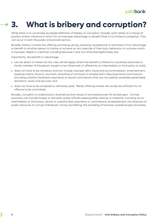## <span id="page-4-0"></span>**3. What is bribery and corruption?**

While there is no universally accepted definition of bribery or corruption, broadly, both relate to a misuse of position and/or influence in return for an improper advantage or benefit (that is not limited to property). They can occur in both the public and private sectors.

Broadly, bribery involves the offering, promising, giving, receiving, acceptance or solicitation of an advantage or benefit to another person to induce or achieve an act, exercise of their duty, behaviour or outcome which is improper, illegal or unethical, including because it was not otherwise legitimately due.

Importantly, the benefit or advantage:

- can be direct or indirect (ie the rules will still apply where the benefit is offered to a business associate or family member of the person sought to be influenced, or offered by an intermediary or third party to Judo);
- does not have to be monetary and can include improper gifts, travel and accommodation, entertainment, expense claims, favours, vouchers, awarding of contracts or employment, fees/payments/commissions (including unlawful facilitation payments or secret commissions that are not publicly available/advertised), donations, taxes and services; and
- does not have to be accepted or ultimately paid. Merely offering a bribe will usually be sufficient for an offence to be committed.

Broadly, corruption is understood in Australia as the misuse of entrusted power for private gain. Corrupt practices can include foreign or domestic public officials seeking either directly or indirectly, including via an intermediary or third party, secret or unlawful fees, payments or commissions; embezzlement; the diversion of public resources to corrupt individuals; money laundering; the awarding of business outside proper processes.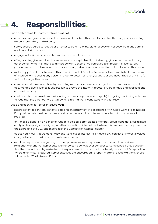## <span id="page-5-0"></span>**4. Responsibilities.**

Judo and each of its Representatives must not:

- offer, promise, give or authorise the provision of a bribe either directly or indirectly to any party, including via an intermediary or third party.
- solicit, accept, agree to receive or attempt to obtain a bribe, either directly or indirectly, from any party in relation to Judo's business.
- engage in, facilitate or conceal corruption or corrupt practices.
- offer, promise, give, solicit, authorise, receive or accept, directly or indirectly, gifts, entertainment or any other benefit or activity that could improperly influence, or be perceived to improperly influence, any person in order to obtain, or retain, business or any advantage of any kind for Judo or for any other person.
- make any political, charitable or other donation on Judo's or the Representative's own behalf as a means of improperly influencing any person in order to obtain, or retain, business or any advantage of any kind for Judo or for any other person.
- commence a business relationship (including with service providers or agents) unless appropriate and documented due diligence is undertaken to ensure the integrity, reputation, credentials and qualifications of the other party.
- continue a business relationship (including with service providers or agents) if ongoing monitoring indicates to Judo that the other party is or will behave in a manner inconsistent with this Policy.

Judo and each of its Representatives must:

- record potential conflicts, benefits, gifts and entertainment in accordance with Judo's Conflicts of Interest Policy. All records must be complete and accurate, and able to be substantiated with documents if required.
- only make a donation on behalf of Judo to a political party, elected member, group, candidate, associated entity or third-party campaigner, whether domestic or international, where this has been first approved by the Board and the CEO and recorded in the Conflicts of Interest Register.
- as outlined in our Procurement Policy and Conflicts of Interest Policy, avoid any conflict of interest involved in any selection, award or administration of a contract.
- escalate any concerns regarding an offer, promise, request, representation, transaction, business relationship or another Representative's or person's behaviour or conduct to Compliance if they consider that the conduct could give rise to a bribery or corruption risk or could materially impact Judo's reputation. Where anonymity is required, Representatives are encouraged to report matters to Judo via the avenues set out in the Whistleblower Policy.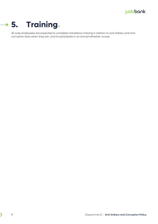<span id="page-6-0"></span>

 $\overline{\mathbf{C}}$ 

All Judo employees are expected to complete mandatory training in relation to anti-bribery and anticorruption laws when they join, and to participate in an annual refresher course.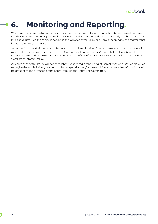#### <span id="page-7-0"></span>**6. Monitoring and Reporting.**  $\overline{\phantom{a}}$

Where a concern regarding an offer, promise, request, representation, transaction, business relationship or another Representative's or person's behaviour or conduct has been identified internally via the Conflicts of Interest Register, via the avenues set out in the Whistleblower Policy or by any other means, the matter must be escalated to Compliance.

As a standing agenda item at each Remuneration and Nominations Committee meeting, the members will raise and consider any Board member's or Management Board member's potential conflicts, benefits, donations, gifts and entertainment recorded in the Conflicts of Interest Register in accordance with Judo's Conflicts of Interest Policy.

Any breaches of this Policy will be thoroughly investigated by the Head of Compliance and GM People which may give rise to disciplinary action including suspension and/or dismissal. Material breaches of this Policy will be brought to the attention of the Board, through the Board Risk Committee.